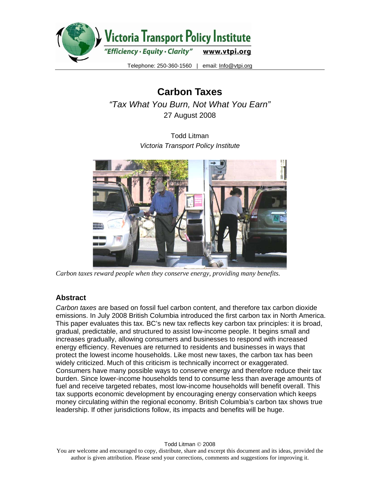

**Carbon Taxes**  *"Tax What You Burn, Not What You Earn"*  27 August 2008

> Todd Litman *Victoria Transport Policy Institute*



*Carbon taxes reward people when they conserve energy, providing many benefits.* 

## **Abstract**

*Carbon taxes* are based on fossil fuel carbon content, and therefore tax carbon dioxide emissions. In July 2008 British Columbia introduced the first carbon tax in North America. This paper evaluates this tax. BC's new tax reflects key carbon tax principles: it is broad, gradual, predictable, and structured to assist low-income people. It begins small and increases gradually, allowing consumers and businesses to respond with increased energy efficiency. Revenues are returned to residents and businesses in ways that protect the lowest income households. Like most new taxes, the carbon tax has been widely criticized. Much of this criticism is technically incorrect or exaggerated. Consumers have many possible ways to conserve energy and therefore reduce their tax burden. Since lower-income households tend to consume less than average amounts of fuel and receive targeted rebates, most low-income households will benefit overall. This tax supports economic development by encouraging energy conservation which keeps money circulating within the regional economy. British Columbia's carbon tax shows true leadership. If other jurisdictions follow, its impacts and benefits will be huge.

You are welcome and encouraged to copy, distribute, share and excerpt this document and its ideas, provided the author is given attribution. Please send your corrections, comments and suggestions for improving it.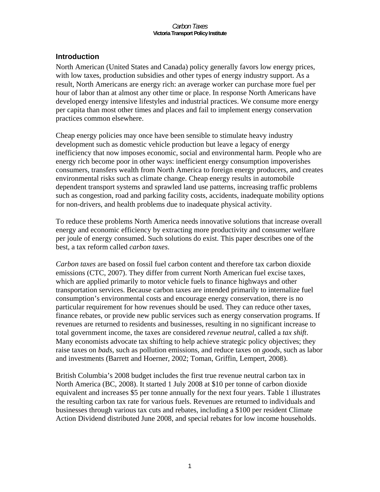## **Introduction**

North American (United States and Canada) policy generally favors low energy prices, with low taxes, production subsidies and other types of energy industry support. As a result, North Americans are energy rich: an average worker can purchase more fuel per hour of labor than at almost any other time or place. In response North Americans have developed energy intensive lifestyles and industrial practices. We consume more energy per capita than most other times and places and fail to implement energy conservation practices common elsewhere.

Cheap energy policies may once have been sensible to stimulate heavy industry development such as domestic vehicle production but leave a legacy of energy inefficiency that now imposes economic, social and environmental harm. People who are energy rich become poor in other ways: inefficient energy consumption impoverishes consumers, transfers wealth from North America to foreign energy producers, and creates environmental risks such as climate change. Cheap energy results in automobile dependent transport systems and sprawled land use patterns, increasing traffic problems such as congestion, road and parking facility costs, accidents, inadequate mobility options for non-drivers, and health problems due to inadequate physical activity.

To reduce these problems North America needs innovative solutions that increase overall energy and economic efficiency by extracting more productivity and consumer welfare per joule of energy consumed. Such solutions do exist. This paper describes one of the best, a tax reform called *carbon taxes*.

*Carbon taxes* are based on fossil fuel carbon content and therefore tax carbon dioxide emissions (CTC, 2007). They differ from current North American fuel excise taxes, which are applied primarily to motor vehicle fuels to finance highways and other transportation services. Because carbon taxes are intended primarily to internalize fuel consumption's environmental costs and encourage energy conservation, there is no particular requirement for how revenues should be used. They can reduce other taxes, finance rebates, or provide new public services such as energy conservation programs. If revenues are returned to residents and businesses, resulting in no significant increase to total government income, the taxes are considered *revenue neutral*, called a *tax shift*. Many economists advocate tax shifting to help achieve strategic policy objectives; they raise taxes on *bads*, such as pollution emissions, and reduce taxes on *goods*, such as labor and investments (Barrett and Hoerner, 2002; Toman, Griffin, Lempert, 2008).

British Columbia's 2008 budget includes the first true revenue neutral carbon tax in North America (BC, 2008). It started 1 July 2008 at \$10 per tonne of carbon dioxide equivalent and increases \$5 per tonne annually for the next four years. Table 1 illustrates the resulting carbon tax rate for various fuels. Revenues are returned to individuals and businesses through various tax cuts and rebates, including a \$100 per resident Climate Action Dividend distributed June 2008, and special rebates for low income households.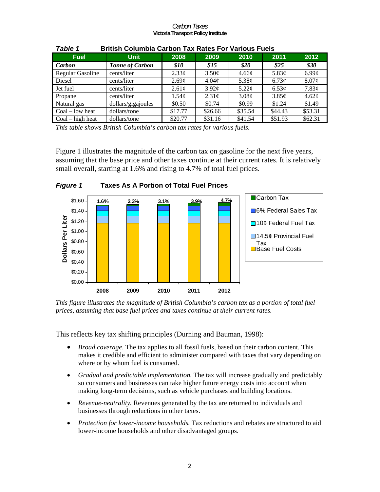| rapie 1<br>British Columbia Carbon Tax Rates For Various Fuels |                        |                    |                   |                     |                   |                   |
|----------------------------------------------------------------|------------------------|--------------------|-------------------|---------------------|-------------------|-------------------|
| <b>Fuel</b>                                                    | <b>Unit</b>            | 2008               | 2009              | 2010                | 2011              | 2012              |
| Carbon                                                         | <b>Tonne of Carbon</b> | <i><b>\$10</b></i> | \$15              | \$20                | \$25              | \$30              |
| <b>Regular Gasoline</b>                                        | cents/liter            | $2.33\ell$         | $3.50\phi$        | 4.66¢               | 5.83 $\varphi$    | $6.99\mathcal{C}$ |
| Diesel                                                         | cents/liter            | $2.69\mathcal{C}$  | $4.04\mathcal{C}$ | 5.38 $\mathfrak{c}$ | 6.73¢             | $8.07\phi$        |
| Jet fuel                                                       | cents/liter            | $2.61\text{c}$     | 3.92 <sub>c</sub> | $5.22\mathcal{C}$   | 6.53 <sub>c</sub> | 7.83¢             |
| Propane                                                        | cents/liter            | 1.54c              | 2.31 <sub>c</sub> | 3.08¢               | 3.85¢             | $4.62\ell$        |
| Natural gas                                                    | dollars/gigajoules     | \$0.50             | \$0.74            | \$0.99              | \$1.24            | \$1.49            |
| $Coal - low heat$                                              | dollars/tone           | \$17.77            | \$26.66           | \$35.54             | \$44.43           | \$53.31           |
| $Coal - high heat$                                             | dollars/tone           | \$20.77            | \$31.16           | \$41.54             | \$51.93           | \$62.31           |

### *Table 1* **British Columbia Carbon Tax Rates For Various Fuels**

*This table shows British Columbia's carbon tax rates for various fuels.* 

Figure 1 illustrates the magnitude of the carbon tax on gasoline for the next five years, assuming that the base price and other taxes continue at their current rates. It is relatively small overall, starting at 1.6% and rising to 4.7% of total fuel prices.



*This figure illustrates the magnitude of British Columbia's carbon tax as a portion of total fuel prices, assuming that base fuel prices and taxes continue at their current rates.* 

This reflects key tax shifting principles (Durning and Bauman, 1998):

- *Broad coverage*. The tax applies to all fossil fuels, based on their carbon content. This makes it credible and efficient to administer compared with taxes that vary depending on where or by whom fuel is consumed.
- *Gradual and predictable implementation.* The tax will increase gradually and predictably so consumers and businesses can take higher future energy costs into account when making long-term decisions, such as vehicle purchases and building locations.
- *Revenue-neutrality.* Revenues generated by the tax are returned to individuals and businesses through reductions in other taxes.
- *Protection for lower-income households.* Tax reductions and rebates are structured to aid lower-income households and other disadvantaged groups.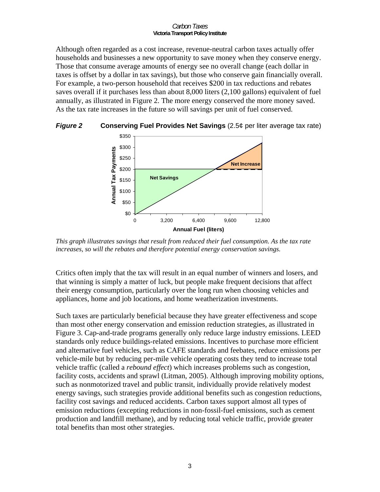Although often regarded as a cost increase, revenue-neutral carbon taxes actually offer households and businesses a new opportunity to save money when they conserve energy. Those that consume average amounts of energy see no overall change (each dollar in taxes is offset by a dollar in tax savings), but those who conserve gain financially overall. For example, a two-person household that receives \$200 in tax reductions and rebates saves overall if it purchases less than about 8,000 liters (2,100 gallons) equivalent of fuel annually, as illustrated in Figure 2. The more energy conserved the more money saved. As the tax rate increases in the future so will savings per unit of fuel conserved.



*Figure 2* **Conserving Fuel Provides Net Savings** (2.5¢ per liter average tax rate)

*This graph illustrates savings that result from reduced their fuel consumption. As the tax rate increases, so will the rebates and therefore potential energy conservation savings.* 

Critics often imply that the tax will result in an equal number of winners and losers, and that winning is simply a matter of luck, but people make frequent decisions that affect their energy consumption, particularly over the long run when choosing vehicles and appliances, home and job locations, and home weatherization investments.

Such taxes are particularly beneficial because they have greater effectiveness and scope than most other energy conservation and emission reduction strategies, as illustrated in Figure 3. Cap-and-trade programs generally only reduce large industry emissions. LEED standards only reduce buildings-related emissions. Incentives to purchase more efficient and alternative fuel vehicles, such as CAFE standards and feebates, reduce emissions per vehicle-mile but by reducing per-mile vehicle operating costs they tend to increase total vehicle traffic (called a *rebound effect*) which increases problems such as congestion, facility costs, accidents and sprawl (Litman, 2005). Although improving mobility options, such as nonmotorized travel and public transit, individually provide relatively modest energy savings, such strategies provide additional benefits such as congestion reductions, facility cost savings and reduced accidents. Carbon taxes support almost all types of emission reductions (excepting reductions in non-fossil-fuel emissions, such as cement production and landfill methane), and by reducing total vehicle traffic, provide greater total benefits than most other strategies.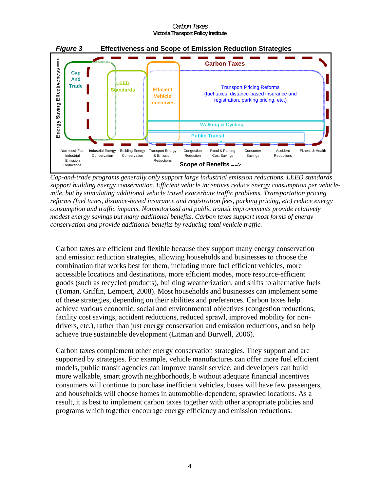

*Cap-and-trade programs generally only support large industrial emission reductions. LEED standards support building energy conservation. Efficient vehicle incentives reduce energy consumption per vehiclemile, but by stimulating additional vehicle travel exacerbate traffic problems. Transportation pricing reforms (fuel taxes, distance-based insurance and registration fees, parking pricing, etc) reduce energy consumption and traffic impacts. Nonmotorized and public transit improvements provide relatively modest energy savings but many additional benefits. Carbon taxes support most forms of energy conservation and provide additional benefits by reducing total vehicle traffic.* 

Carbon taxes are efficient and flexible because they support many energy conservation and emission reduction strategies, allowing households and businesses to choose the combination that works best for them, including more fuel efficient vehicles, more accessible locations and destinations, more efficient modes, more resource-efficient goods (such as recycled products), building weatherization, and shifts to alternative fuels (Toman, Griffin, Lempert, 2008). Most households and businesses can implement some of these strategies, depending on their abilities and preferences. Carbon taxes help achieve various economic, social and environmental objectives (congestion reductions, facility cost savings, accident reductions, reduced sprawl, improved mobility for nondrivers, etc.), rather than just energy conservation and emission reductions, and so help achieve true sustainable development (Litman and Burwell, 2006).

Carbon taxes complement other energy conservation strategies. They support and are supported by strategies. For example, vehicle manufactures can offer more fuel efficient models, public transit agencies can improve transit service, and developers can build more walkable, smart growth neighborhoods, b without adequate financial incentives consumers will continue to purchase inefficient vehicles, buses will have few passengers, and households will choose homes in automobile-dependent, sprawled locations. As a result, it is best to implement carbon taxes together with other appropriate policies and programs which together encourage energy efficiency and emission reductions.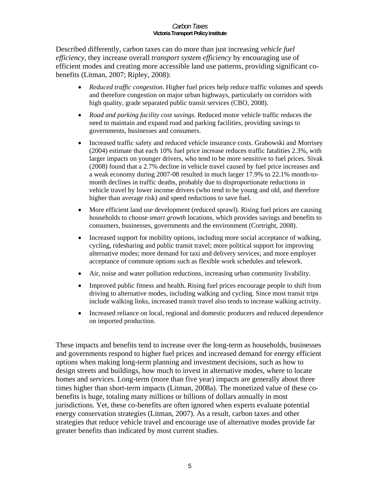Described differently, carbon taxes can do more than just increasing *vehicle fuel efficiency*, they increase overall *transport system efficiency* by encouraging use of efficient modes and creating more accessible land use patterns, providing significant cobenefits (Litman, 2007; Ripley, 2008):

- *Reduced traffic congestion.* Higher fuel prices help reduce traffic volumes and speeds and therefore congestion on major urban highways, particularly on corridors with high quality, grade separated public transit services (CBO, 2008).
- *Road and parking facility cost savings.* Reduced motor vehicle traffic reduces the need to maintain and expand road and parking facilities, providing savings to governments, businesses and consumers.
- Increased traffic safety and reduced vehicle insurance costs. Grabowski and Morrisey (2004) estimate that each 10% fuel price increase reduces traffic fatalities 2.3%, with larger impacts on younger drivers, who tend to be more sensitive to fuel prices. Sivak (2008) found that a 2.7% decline in vehicle travel caused by fuel price increases and a weak economy during 2007-08 resulted in much larger 17.9% to 22.1% month-tomonth declines in traffic deaths, probably due to disproportionate reductions in vehicle travel by lower income drivers (who tend to be young and old, and therefore higher than average risk) and speed reductions to save fuel.
- More efficient land use development (reduced sprawl). Rising fuel prices are causing households to choose *smart growth* locations, which provides savings and benefits to consumers, businesses, governments and the environment (Cortright, 2008).
- Increased support for mobility options, including more social acceptance of walking, cycling, ridesharing and public transit travel; more political support for improving alternative modes; more demand for taxi and delivery services; and more employer acceptance of commute options such as flexible work schedules and telework.
- Air, noise and water pollution reductions, increasing urban community livability.
- Improved public fitness and health. Rising fuel prices encourage people to shift from driving to alternative modes, including walking and cycling. Since most transit trips include walking links, increased transit travel also tends to increase walking activity.
- Increased reliance on local, regional and domestic producers and reduced dependence on imported production.

These impacts and benefits tend to increase over the long-term as households, businesses and governments respond to higher fuel prices and increased demand for energy efficient options when making long-term planning and investment decisions, such as how to design streets and buildings, how much to invest in alternative modes, where to locate homes and services. Long-term (more than five year) impacts are generally about three times higher than short-term impacts (Litman, 2008a). The monetized value of these cobenefits is huge, totaling many millions or billions of dollars annually in most jurisdictions. Yet, these co-benefits are often ignored when experts evaluate potential energy conservation strategies (Litman, 2007). As a result, carbon taxes and other strategies that reduce vehicle travel and encourage use of alternative modes provide far greater benefits than indicated by most current studies.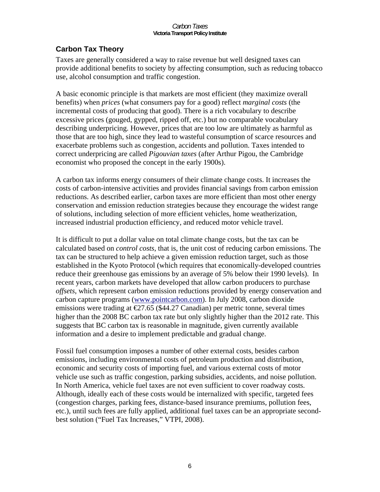# **Carbon Tax Theory**

Taxes are generally considered a way to raise revenue but well designed taxes can provide additional benefits to society by affecting consumption, such as reducing tobacco use, alcohol consumption and traffic congestion.

A basic economic principle is that markets are most efficient (they maximize overall benefits) when *prices* (what consumers pay for a good) reflect *marginal costs* (the incremental costs of producing that good). There is a rich vocabulary to describe excessive prices (gouged, gypped, ripped off, etc.) but no comparable vocabulary describing underpricing. However, prices that are too low are ultimately as harmful as those that are too high, since they lead to wasteful consumption of scarce resources and exacerbate problems such as congestion, accidents and pollution. Taxes intended to correct underpricing are called *Pigouvian taxes* (after Arthur Pigou, the Cambridge economist who proposed the concept in the early 1900s).

A carbon tax informs energy consumers of their climate change costs. It increases the costs of carbon-intensive activities and provides financial savings from carbon emission reductions. As described earlier, carbon taxes are more efficient than most other energy conservation and emission reduction strategies because they encourage the widest range of solutions, including selection of more efficient vehicles, home weatherization, increased industrial production efficiency, and reduced motor vehicle travel.

It is difficult to put a dollar value on total climate change costs, but the tax can be calculated based on *control costs*, that is, the unit cost of reducing carbon emissions. The tax can be structured to help achieve a given emission reduction target, such as those established in the Kyoto Protocol (which requires that economically-developed countries reduce their greenhouse gas emissions by an average of 5% below their 1990 levels). In recent years, carbon markets have developed that allow carbon producers to purchase *offsets*, which represent carbon emission reductions provided by energy conservation and carbon capture programs (www.pointcarbon.com). In July 2008, carbon dioxide emissions were trading at  $\epsilon$ 27.65 (\$44.27 Canadian) per metric tonne, several times higher than the 2008 BC carbon tax rate but only slightly higher than the 2012 rate. This suggests that BC carbon tax is reasonable in magnitude, given currently available information and a desire to implement predictable and gradual change.

Fossil fuel consumption imposes a number of other external costs, besides carbon emissions, including environmental costs of petroleum production and distribution, economic and security costs of importing fuel, and various external costs of motor vehicle use such as traffic congestion, parking subsidies, accidents, and noise pollution. In North America, vehicle fuel taxes are not even sufficient to cover roadway costs. Although, ideally each of these costs would be internalized with specific, targeted fees (congestion charges, parking fees, distance-based insurance premiums, pollution fees, etc.), until such fees are fully applied, additional fuel taxes can be an appropriate secondbest solution ("Fuel Tax Increases," VTPI, 2008).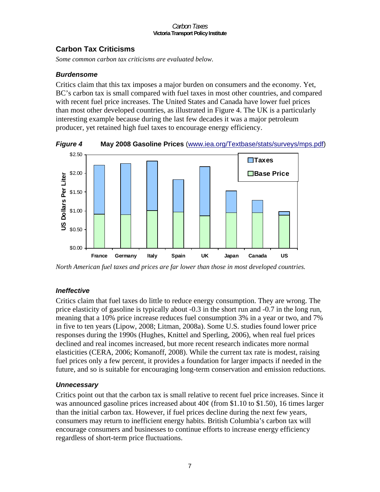## **Carbon Tax Criticisms**

*Some common carbon tax criticisms are evaluated below.* 

### *Burdensome*

Critics claim that this tax imposes a major burden on consumers and the economy. Yet, BC's carbon tax is small compared with fuel taxes in most other countries, and compared with recent fuel price increases. The United States and Canada have lower fuel prices than most other developed countries, as illustrated in Figure 4. The UK is a particularly interesting example because during the last few decades it was a major petroleum producer, yet retained high fuel taxes to encourage energy efficiency.

*Figure 4* **May 2008 Gasoline Prices** (www.iea.org/Textbase/stats/surveys/mps.pdf)



*North American fuel taxes and prices are far lower than those in most developed countries.* 

## *Ineffective*

Critics claim that fuel taxes do little to reduce energy consumption. They are wrong. The price elasticity of gasoline is typically about -0.3 in the short run and -0.7 in the long run, meaning that a 10% price increase reduces fuel consumption 3% in a year or two, and 7% in five to ten years (Lipow, 2008; Litman, 2008a). Some U.S. studies found lower price responses during the 1990s (Hughes, Knittel and Sperling, 2006), when real fuel prices declined and real incomes increased, but more recent research indicates more normal elasticities (CERA, 2006; Komanoff, 2008). While the current tax rate is modest, raising fuel prices only a few percent, it provides a foundation for larger impacts if needed in the future, and so is suitable for encouraging long-term conservation and emission reductions.

## *Unnecessary*

Critics point out that the carbon tax is small relative to recent fuel price increases. Since it was announced gasoline prices increased about  $40¢$  (from \$1.10 to \$1.50), 16 times larger than the initial carbon tax. However, if fuel prices decline during the next few years, consumers may return to inefficient energy habits. British Columbia's carbon tax will encourage consumers and businesses to continue efforts to increase energy efficiency regardless of short-term price fluctuations.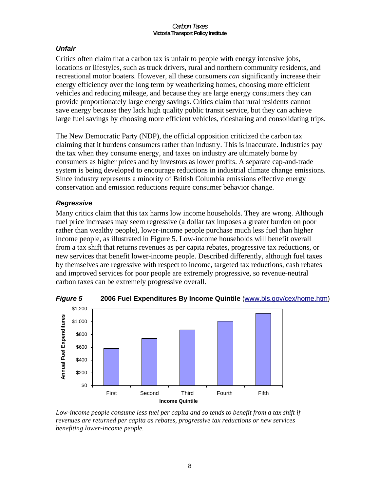## *Unfair*

Critics often claim that a carbon tax is unfair to people with energy intensive jobs, locations or lifestyles, such as truck drivers, rural and northern community residents, and recreational motor boaters. However, all these consumers *can* significantly increase their energy efficiency over the long term by weatherizing homes, choosing more efficient vehicles and reducing mileage, and because they are large energy consumers they can provide proportionately large energy savings. Critics claim that rural residents cannot save energy because they lack high quality public transit service, but they can achieve large fuel savings by choosing more efficient vehicles, ridesharing and consolidating trips.

The New Democratic Party (NDP), the official opposition criticized the carbon tax claiming that it burdens consumers rather than industry. This is inaccurate. Industries pay the tax when they consume energy, and taxes on industry are ultimately borne by consumers as higher prices and by investors as lower profits. A separate cap-and-trade system is being developed to encourage reductions in industrial climate change emissions. Since industry represents a minority of British Columbia emissions effective energy conservation and emission reductions require consumer behavior change.

## *Regressive*

Many critics claim that this tax harms low income households. They are wrong. Although fuel price increases may seem regressive (a dollar tax imposes a greater burden on poor rather than wealthy people), lower-income people purchase much less fuel than higher income people, as illustrated in Figure 5. Low-income households will benefit overall from a tax shift that returns revenues as per capita rebates, progressive tax reductions, or new services that benefit lower-income people. Described differently, although fuel taxes by themselves are regressive with respect to income, targeted tax reductions, cash rebates and improved services for poor people are extremely progressive, so revenue-neutral carbon taxes can be extremely progressive overall.



*Figure 5* **2006 Fuel Expenditures By Income Quintile** (www.bls.gov/cex/home.htm)

Low-income people consume less fuel per capita and so tends to benefit from a tax shift if *revenues are returned per capita as rebates, progressive tax reductions or new services benefiting lower-income people.*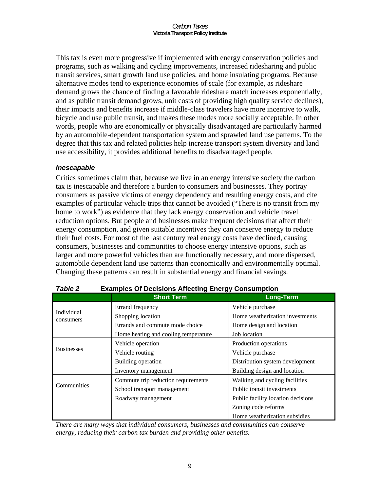This tax is even more progressive if implemented with energy conservation policies and programs, such as walking and cycling improvements, increased ridesharing and public transit services, smart growth land use policies, and home insulating programs. Because alternative modes tend to experience economies of scale (for example, as rideshare demand grows the chance of finding a favorable rideshare match increases exponentially, and as public transit demand grows, unit costs of providing high quality service declines), their impacts and benefits increase if middle-class travelers have more incentive to walk, bicycle and use public transit, and makes these modes more socially acceptable. In other words, people who are economically or physically disadvantaged are particularly harmed by an automobile-dependent transportation system and sprawled land use patterns. To the degree that this tax and related policies help increase transport system diversity and land use accessibility, it provides additional benefits to disadvantaged people.

## *Inescapable*

Critics sometimes claim that, because we live in an energy intensive society the carbon tax is inescapable and therefore a burden to consumers and businesses. They portray consumers as passive victims of energy dependency and resulting energy costs, and cite examples of particular vehicle trips that cannot be avoided ("There is no transit from my home to work") as evidence that they lack energy conservation and vehicle travel reduction options. But people and businesses make frequent decisions that affect their energy consumption, and given suitable incentives they can conserve energy to reduce their fuel costs. For most of the last century real energy costs have declined, causing consumers, businesses and communities to choose energy intensive options, such as larger and more powerful vehicles than are functionally necessary, and more dispersed, automobile dependent land use patterns than economically and environmentally optimal. Changing these patterns can result in substantial energy and financial savings.

|                         | <b>Short Term</b>                    | ັ<br><b>Long-Term</b>              |  |  |
|-------------------------|--------------------------------------|------------------------------------|--|--|
| Individual<br>consumers | Errand frequency                     | Vehicle purchase                   |  |  |
|                         | Shopping location                    | Home weatherization investments    |  |  |
|                         | Errands and commute mode choice      | Home design and location           |  |  |
|                         | Home heating and cooling temperature | Job location                       |  |  |
| <b>Businesses</b>       | Vehicle operation                    | Production operations              |  |  |
|                         | Vehicle routing                      | Vehicle purchase                   |  |  |
|                         | Building operation                   | Distribution system development    |  |  |
|                         | Inventory management                 | Building design and location       |  |  |
| Communities             | Commute trip reduction requirements  | Walking and cycling facilities     |  |  |
|                         | School transport management          | Public transit investments         |  |  |
| Roadway management      |                                      | Public facility location decisions |  |  |
|                         |                                      | Zoning code reforms                |  |  |
|                         |                                      | Home weatherization subsidies      |  |  |

| Table 2 | <b>Examples Of Decisions Affecting Energy Consumption</b> |
|---------|-----------------------------------------------------------|
|---------|-----------------------------------------------------------|

*There are many ways that individual consumers, businesses and communities can conserve energy, reducing their carbon tax burden and providing other benefits.*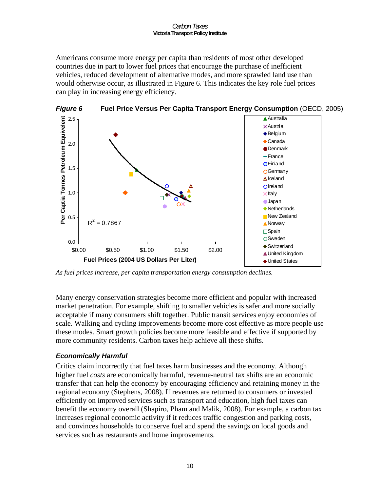Americans consume more energy per capita than residents of most other developed countries due in part to lower fuel prices that encourage the purchase of inefficient vehicles, reduced development of alternative modes, and more sprawled land use than would otherwise occur, as illustrated in Figure 6. This indicates the key role fuel prices can play in increasing energy efficiency.



*As fuel prices increase, per capita transportation energy consumption declines.* 

Many energy conservation strategies become more efficient and popular with increased market penetration. For example, shifting to smaller vehicles is safer and more socially acceptable if many consumers shift together. Public transit services enjoy economies of scale. Walking and cycling improvements become more cost effective as more people use these modes. Smart growth policies become more feasible and effective if supported by more community residents. Carbon taxes help achieve all these shifts.

## *Economically Harmful*

Critics claim incorrectly that fuel taxes harm businesses and the economy. Although higher fuel *costs* are economically harmful, revenue-neutral tax shifts are an economic transfer that can help the economy by encouraging efficiency and retaining money in the regional economy (Stephens, 2008). If revenues are returned to consumers or invested efficiently on improved services such as transport and education, high fuel taxes can benefit the economy overall (Shapiro, Pham and Malik, 2008). For example, a carbon tax increases regional economic activity if it reduces traffic congestion and parking costs, and convinces households to conserve fuel and spend the savings on local goods and services such as restaurants and home improvements.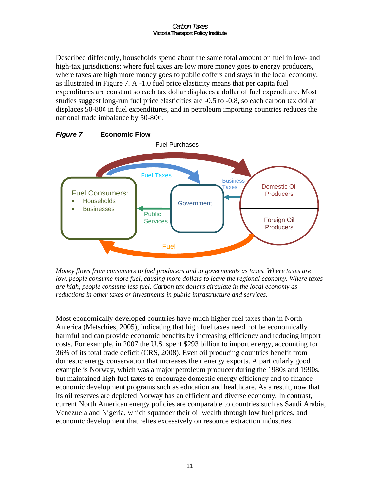Described differently, households spend about the same total amount on fuel in low- and high-tax jurisdictions: where fuel taxes are low more money goes to energy producers, where taxes are high more money goes to public coffers and stays in the local economy, as illustrated in Figure 7. A -1.0 fuel price elasticity means that per capita fuel expenditures are constant so each tax dollar displaces a dollar of fuel expenditure. Most studies suggest long-run fuel price elasticities are -0.5 to -0.8, so each carbon tax dollar displaces 50-80¢ in fuel expenditures, and in petroleum importing countries reduces the national trade imbalance by 50-80¢.



*Money flows from consumers to fuel producers and to governments as taxes. Where taxes are low, people consume more fuel, causing more dollars to leave the regional economy. Where taxes are high, people consume less fuel. Carbon tax dollars circulate in the local economy as reductions in other taxes or investments in public infrastructure and services.* 

Most economically developed countries have much higher fuel taxes than in North America (Metschies, 2005), indicating that high fuel taxes need not be economically harmful and can provide economic benefits by increasing efficiency and reducing import costs. For example, in 2007 the U.S. spent \$293 billion to import energy, accounting for 36% of its total trade deficit (CRS, 2008). Even oil producing countries benefit from domestic energy conservation that increases their energy exports. A particularly good example is Norway, which was a major petroleum producer during the 1980s and 1990s, but maintained high fuel taxes to encourage domestic energy efficiency and to finance economic development programs such as education and healthcare. As a result, now that its oil reserves are depleted Norway has an efficient and diverse economy. In contrast, current North American energy policies are comparable to countries such as Saudi Arabia, Venezuela and Nigeria, which squander their oil wealth through low fuel prices, and economic development that relies excessively on resource extraction industries.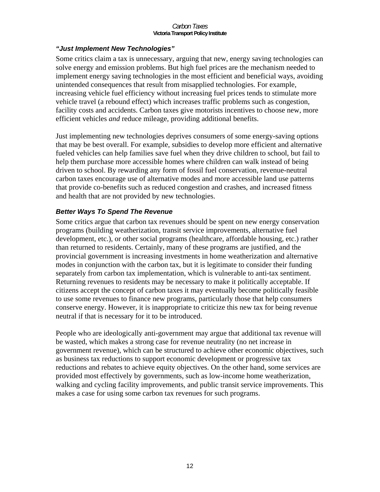### *"Just Implement New Technologies"*

Some critics claim a tax is unnecessary, arguing that new, energy saving technologies can solve energy and emission problems. But high fuel prices are the mechanism needed to implement energy saving technologies in the most efficient and beneficial ways, avoiding unintended consequences that result from misapplied technologies. For example, increasing vehicle fuel efficiency without increasing fuel prices tends to stimulate more vehicle travel (a rebound effect) which increases traffic problems such as congestion, facility costs and accidents. Carbon taxes give motorists incentives to choose new, more efficient vehicles *and* reduce mileage, providing additional benefits.

Just implementing new technologies deprives consumers of some energy-saving options that may be best overall. For example, subsidies to develop more efficient and alternative fueled vehicles can help families save fuel when they drive children to school, but fail to help them purchase more accessible homes where children can walk instead of being driven to school. By rewarding any form of fossil fuel conservation, revenue-neutral carbon taxes encourage use of alternative modes and more accessible land use patterns that provide co-benefits such as reduced congestion and crashes, and increased fitness and health that are not provided by new technologies.

## *Better Ways To Spend The Revenue*

Some critics argue that carbon tax revenues should be spent on new energy conservation programs (building weatherization, transit service improvements, alternative fuel development, etc.), or other social programs (healthcare, affordable housing, etc.) rather than returned to residents. Certainly, many of these programs are justified, and the provincial government is increasing investments in home weatherization and alternative modes in conjunction with the carbon tax, but it is legitimate to consider their funding separately from carbon tax implementation, which is vulnerable to anti-tax sentiment. Returning revenues to residents may be necessary to make it politically acceptable. If citizens accept the concept of carbon taxes it may eventually become politically feasible to use some revenues to finance new programs, particularly those that help consumers conserve energy. However, it is inappropriate to criticize this new tax for being revenue neutral if that is necessary for it to be introduced.

People who are ideologically anti-government may argue that additional tax revenue will be wasted, which makes a strong case for revenue neutrality (no net increase in government revenue), which can be structured to achieve other economic objectives, such as business tax reductions to support economic development or progressive tax reductions and rebates to achieve equity objectives. On the other hand, some services are provided most effectively by governments, such as low-income home weatherization, walking and cycling facility improvements, and public transit service improvements. This makes a case for using some carbon tax revenues for such programs.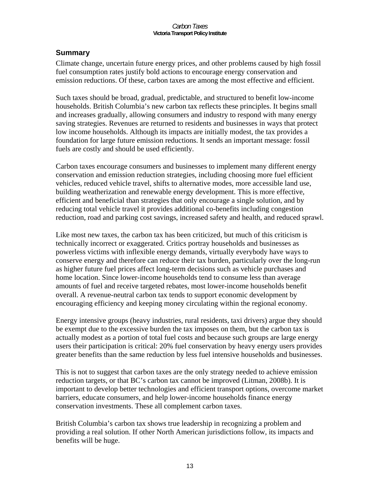# **Summary**

Climate change, uncertain future energy prices, and other problems caused by high fossil fuel consumption rates justify bold actions to encourage energy conservation and emission reductions. Of these, carbon taxes are among the most effective and efficient.

Such taxes should be broad, gradual, predictable, and structured to benefit low-income households. British Columbia's new carbon tax reflects these principles. It begins small and increases gradually, allowing consumers and industry to respond with many energy saving strategies. Revenues are returned to residents and businesses in ways that protect low income households. Although its impacts are initially modest, the tax provides a foundation for large future emission reductions. It sends an important message: fossil fuels are costly and should be used efficiently.

Carbon taxes encourage consumers and businesses to implement many different energy conservation and emission reduction strategies, including choosing more fuel efficient vehicles, reduced vehicle travel, shifts to alternative modes, more accessible land use, building weatherization and renewable energy development. This is more effective, efficient and beneficial than strategies that only encourage a single solution, and by reducing total vehicle travel it provides additional co-benefits including congestion reduction, road and parking cost savings, increased safety and health, and reduced sprawl.

Like most new taxes, the carbon tax has been criticized, but much of this criticism is technically incorrect or exaggerated. Critics portray households and businesses as powerless victims with inflexible energy demands, virtually everybody have ways to conserve energy and therefore can reduce their tax burden, particularly over the long-run as higher future fuel prices affect long-term decisions such as vehicle purchases and home location. Since lower-income households tend to consume less than average amounts of fuel and receive targeted rebates, most lower-income households benefit overall. A revenue-neutral carbon tax tends to support economic development by encouraging efficiency and keeping money circulating within the regional economy.

Energy intensive groups (heavy industries, rural residents, taxi drivers) argue they should be exempt due to the excessive burden the tax imposes on them, but the carbon tax is actually modest as a portion of total fuel costs and because such groups are large energy users their participation is critical: 20% fuel conservation by heavy energy users provides greater benefits than the same reduction by less fuel intensive households and businesses.

This is not to suggest that carbon taxes are the only strategy needed to achieve emission reduction targets, or that BC's carbon tax cannot be improved (Litman, 2008b). It is important to develop better technologies and efficient transport options, overcome market barriers, educate consumers, and help lower-income households finance energy conservation investments. These all complement carbon taxes.

British Columbia's carbon tax shows true leadership in recognizing a problem and providing a real solution. If other North American jurisdictions follow, its impacts and benefits will be huge.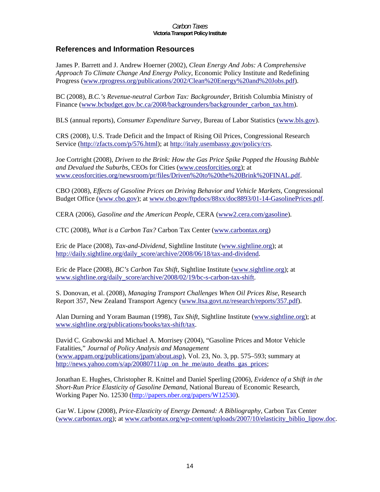## **References and Information Resources**

James P. Barrett and J. Andrew Hoerner (2002), *Clean Energy And Jobs: A Comprehensive Approach To Climate Change And Energy Policy*, Economic Policy Institute and Redefining Progress (www.rprogress.org/publications/2002/Clean%20Energy%20and%20Jobs.pdf).

BC (2008), *B.C.'s Revenue-neutral Carbon Tax: Backgrounder*, British Columbia Ministry of Finance (www.bcbudget.gov.bc.ca/2008/backgrounders/backgrounder\_carbon\_tax.htm).

BLS (annual reports), *Consumer Expenditure Survey*, Bureau of Labor Statistics (www.bls.gov).

CRS (2008), U.S. Trade Deficit and the Impact of Rising Oil Prices, Congressional Research Service (http://zfacts.com/p/576.html); at http://italy.usembassy.gov/policy/crs.

Joe Cortright (2008), *Driven to the Brink: How the Gas Price Spike Popped the Housing Bubble and Devalued the Suburbs*, CEOs for Cities (www.ceosforcities.org); at www.ceosforcities.org/newsroom/pr/files/Driven%20to%20the%20Brink%20FINAL.pdf.

CBO (2008), *Effects of Gasoline Prices on Driving Behavior and Vehicle Markets*, Congressional Budget Office (www.cbo.gov); at www.cbo.gov/ftpdocs/88xx/doc8893/01-14-GasolinePrices.pdf.

CERA (2006), *Gasoline and the American People*, CERA (www2.cera.com/gasoline).

CTC (2008), *What is a Carbon Tax?* Carbon Tax Center (www.carbontax.org)

Eric de Place (2008), *Tax-and-Dividend*, Sightline Institute (www.sightline.org); at http://daily.sightline.org/daily\_score/archive/2008/06/18/tax-and-dividend.

Eric de Place (2008), *BC's Carbon Tax Shift*, Sightline Institute (www.sightline.org); at www.sightline.org/daily\_score/archive/2008/02/19/bc-s-carbon-tax-shift.

S. Donovan, et al. (2008), *Managing Transport Challenges When Oil Prices Rise*, Research Report 357, New Zealand Transport Agency (www.ltsa.govt.nz/research/reports/357.pdf).

Alan Durning and Yoram Bauman (1998), *Tax Shift*, Sightline Institute (www.sightline.org); at www.sightline.org/publications/books/tax-shift/tax.

David C. Grabowski and Michael A. Morrisey (2004), "Gasoline Prices and Motor Vehicle Fatalities," *Journal of Policy Analysis and Management* (www.appam.org/publications/jpam/about.asp), Vol. 23, No. 3, pp. 575–593; summary at http://news.yahoo.com/s/ap/20080711/ap\_on\_he\_me/auto\_deaths\_gas\_prices;

Jonathan E. Hughes, Christopher R. Knittel and Daniel Sperling (2006), *Evidence of a Shift in the Short-Run Price Elasticity of Gasoline Demand*, National Bureau of Economic Research, Working Paper No. 12530 (http://papers.nber.org/papers/W12530).

Gar W. Lipow (2008), *Price-Elasticity of Energy Demand: A Bibliography*, Carbon Tax Center (www.carbontax.org); at www.carbontax.org/wp-content/uploads/2007/10/elasticity\_biblio\_lipow.doc.